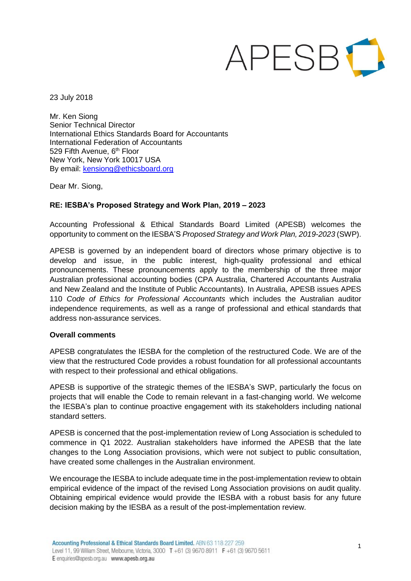# APESBIL

23 July 2018

Mr. Ken Siong Senior Technical Director International Ethics Standards Board for Accountants International Federation of Accountants 529 Fifth Avenue, 6<sup>th</sup> Floor New York, New York 10017 USA By email: [kensiong@ethicsboard.org](mailto:kensiong@ethicsboard.org)

Dear Mr. Siong,

# **RE: IESBA's Proposed Strategy and Work Plan, 2019 – 2023**

Accounting Professional & Ethical Standards Board Limited (APESB) welcomes the opportunity to comment on the IESBA'S *Proposed Strategy and Work Plan, 2019-2023* (SWP).

APESB is governed by an independent board of directors whose primary objective is to develop and issue, in the public interest, high-quality professional and ethical pronouncements. These pronouncements apply to the membership of the three major Australian professional accounting bodies (CPA Australia, Chartered Accountants Australia and New Zealand and the Institute of Public Accountants). In Australia, APESB issues APES 110 *Code of Ethics for Professional Accountants* which includes the Australian auditor independence requirements, as well as a range of professional and ethical standards that address non-assurance services.

#### **Overall comments**

APESB congratulates the IESBA for the completion of the restructured Code. We are of the view that the restructured Code provides a robust foundation for all professional accountants with respect to their professional and ethical obligations.

APESB is supportive of the strategic themes of the IESBA's SWP, particularly the focus on projects that will enable the Code to remain relevant in a fast-changing world. We welcome the IESBA's plan to continue proactive engagement with its stakeholders including national standard setters.

APESB is concerned that the post-implementation review of Long Association is scheduled to commence in Q1 2022. Australian stakeholders have informed the APESB that the late changes to the Long Association provisions, which were not subject to public consultation, have created some challenges in the Australian environment.

We encourage the IESBA to include adequate time in the post-implementation review to obtain empirical evidence of the impact of the revised Long Association provisions on audit quality. Obtaining empirical evidence would provide the IESBA with a robust basis for any future decision making by the IESBA as a result of the post-implementation review.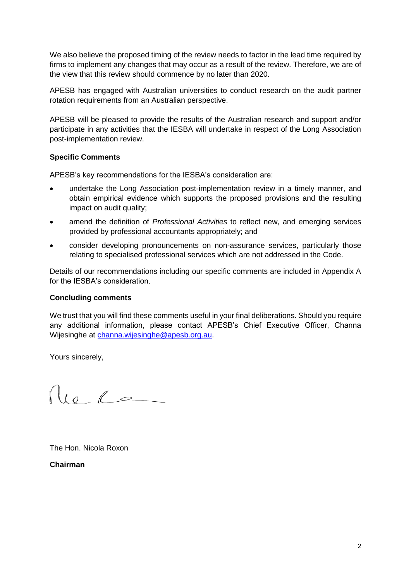We also believe the proposed timing of the review needs to factor in the lead time required by firms to implement any changes that may occur as a result of the review. Therefore, we are of the view that this review should commence by no later than 2020.

APESB has engaged with Australian universities to conduct research on the audit partner rotation requirements from an Australian perspective.

APESB will be pleased to provide the results of the Australian research and support and/or participate in any activities that the IESBA will undertake in respect of the Long Association post-implementation review.

## **Specific Comments**

APESB's key recommendations for the IESBA's consideration are:

- undertake the Long Association post-implementation review in a timely manner, and obtain empirical evidence which supports the proposed provisions and the resulting impact on audit quality;
- amend the definition of *Professional Activities* to reflect new, and emerging services provided by professional accountants appropriately; and
- consider developing pronouncements on non-assurance services, particularly those relating to specialised professional services which are not addressed in the Code.

Details of our recommendations including our specific comments are included in Appendix A for the IESBA's consideration.

#### **Concluding comments**

We trust that you will find these comments useful in your final deliberations. Should you require any additional information, please contact APESB's Chief Executive Officer, Channa Wijesinghe at [channa.wijesinghe@apesb.org.au.](mailto:channa.wijesinghe@apesb.org.au)

Yours sincerely,

 $\int u \circ \ell$ 

The Hon. Nicola Roxon

**Chairman**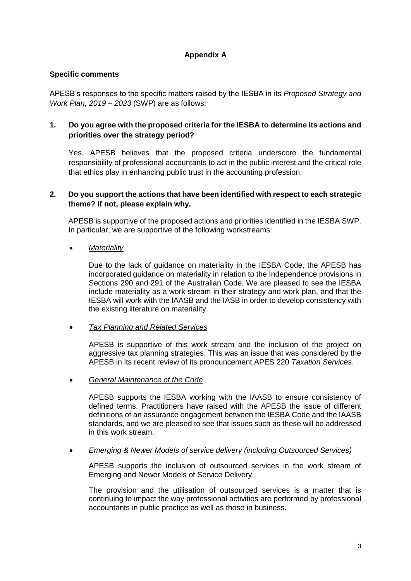# **Appendix A**

## **Specific comments**

APESB's responses to the specific matters raised by the IESBA in its *Proposed Strategy and Work Plan, 2019 – 2023* (SWP) are as follows:

## **1. Do you agree with the proposed criteria for the IESBA to determine its actions and priorities over the strategy period?**

Yes. APESB believes that the proposed criteria underscore the fundamental responsibility of professional accountants to act in the public interest and the critical role that ethics play in enhancing public trust in the accounting profession.

#### **2. Do you support the actions that have been identified with respect to each strategic theme? If not, please explain why.**

APESB is supportive of the proposed actions and priorities identified in the IESBA SWP. In particular, we are supportive of the following workstreams:

#### • *Materiality*

Due to the lack of guidance on materiality in the IESBA Code, the APESB has incorporated guidance on materiality in relation to the Independence provisions in Sections 290 and 291 of the Australian Code. We are pleased to see the IESBA include materiality as a work stream in their strategy and work plan, and that the IESBA will work with the IAASB and the IASB in order to develop consistency with the existing literature on materiality.

#### • *Tax Planning and Related Services*

APESB is supportive of this work stream and the inclusion of the project on aggressive tax planning strategies. This was an issue that was considered by the APESB in its recent review of its pronouncement APES 220 *Taxation Services*.

#### • *General Maintenance of the Code*

APESB supports the IESBA working with the IAASB to ensure consistency of defined terms. Practitioners have raised with the APESB the issue of different definitions of an assurance engagement between the IESBA Code and the IAASB standards, and we are pleased to see that issues such as these will be addressed in this work stream.

# • *Emerging & Newer Models of service delivery (including Outsourced Services)*

APESB supports the inclusion of outsourced services in the work stream of Emerging and Newer Models of Service Delivery.

The provision and the utilisation of outsourced services is a matter that is continuing to impact the way professional activities are performed by professional accountants in public practice as well as those in business.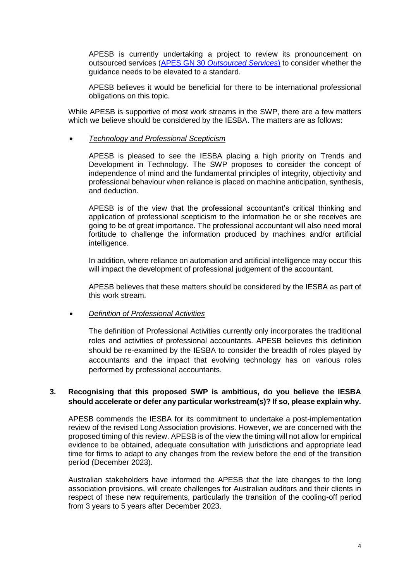APESB is currently undertaking a project to review its pronouncement on outsourced services (APES GN 30 *[Outsourced Services](http://www.apesb.org.au/uploads/standards/guidance_notes/29102015070709_Revised_APES_GN_30_Oct_2015.pdf)*) to consider whether the guidance needs to be elevated to a standard.

APESB believes it would be beneficial for there to be international professional obligations on this topic.

While APESB is supportive of most work streams in the SWP, there are a few matters which we believe should be considered by the IESBA. The matters are as follows:

#### • *Technology and Professional Scepticism*

APESB is pleased to see the IESBA placing a high priority on Trends and Development in Technology. The SWP proposes to consider the concept of independence of mind and the fundamental principles of integrity, objectivity and professional behaviour when reliance is placed on machine anticipation, synthesis, and deduction.

APESB is of the view that the professional accountant's critical thinking and application of professional scepticism to the information he or she receives are going to be of great importance. The professional accountant will also need moral fortitude to challenge the information produced by machines and/or artificial intelligence.

In addition, where reliance on automation and artificial intelligence may occur this will impact the development of professional judgement of the accountant.

APESB believes that these matters should be considered by the IESBA as part of this work stream.

#### • *Definition of Professional Activities*

The definition of Professional Activities currently only incorporates the traditional roles and activities of professional accountants. APESB believes this definition should be re-examined by the IESBA to consider the breadth of roles played by accountants and the impact that evolving technology has on various roles performed by professional accountants.

#### **3. Recognising that this proposed SWP is ambitious, do you believe the IESBA should accelerate or defer any particular workstream(s)? If so, please explain why.**

APESB commends the IESBA for its commitment to undertake a post-implementation review of the revised Long Association provisions. However, we are concerned with the proposed timing of this review. APESB is of the view the timing will not allow for empirical evidence to be obtained, adequate consultation with jurisdictions and appropriate lead time for firms to adapt to any changes from the review before the end of the transition period (December 2023).

Australian stakeholders have informed the APESB that the late changes to the long association provisions, will create challenges for Australian auditors and their clients in respect of these new requirements, particularly the transition of the cooling-off period from 3 years to 5 years after December 2023.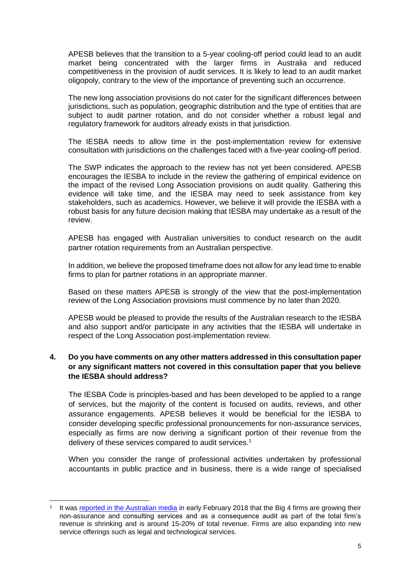APESB believes that the transition to a 5-year cooling-off period could lead to an audit market being concentrated with the larger firms in Australia and reduced competitiveness in the provision of audit services. It is likely to lead to an audit market oligopoly, contrary to the view of the importance of preventing such an occurrence.

The new long association provisions do not cater for the significant differences between jurisdictions, such as population, geographic distribution and the type of entities that are subject to audit partner rotation, and do not consider whether a robust legal and regulatory framework for auditors already exists in that jurisdiction.

The IESBA needs to allow time in the post-implementation review for extensive consultation with jurisdictions on the challenges faced with a five-year cooling-off period.

The SWP indicates the approach to the review has not yet been considered. APESB encourages the IESBA to include in the review the gathering of empirical evidence on the impact of the revised Long Association provisions on audit quality. Gathering this evidence will take time, and the IESBA may need to seek assistance from key stakeholders, such as academics. However, we believe it will provide the IESBA with a robust basis for any future decision making that IESBA may undertake as a result of the review.

APESB has engaged with Australian universities to conduct research on the audit partner rotation requirements from an Australian perspective.

In addition, we believe the proposed timeframe does not allow for any lead time to enable firms to plan for partner rotations in an appropriate manner.

Based on these matters APESB is strongly of the view that the post-implementation review of the Long Association provisions must commence by no later than 2020.

APESB would be pleased to provide the results of the Australian research to the IESBA and also support and/or participate in any activities that the IESBA will undertake in respect of the Long Association post-implementation review.

## **4. Do you have comments on any other matters addressed in this consultation paper or any significant matters not covered in this consultation paper that you believe the IESBA should address?**

The IESBA Code is principles-based and has been developed to be applied to a range of services, but the majority of the content is focused on audits, reviews, and other assurance engagements. APESB believes it would be beneficial for the IESBA to consider developing specific professional pronouncements for non-assurance services, especially as firms are now deriving a significant portion of their revenue from the delivery of these services compared to audit services.<sup>1</sup>

When you consider the range of professional activities undertaken by professional accountants in public practice and in business, there is a wide range of specialised

<sup>-</sup>1 It was [reported in the Australian media](http://www.afr.com/business/accounting/deloitte-ceo-cindy-hook-looks-way-beyond-audit-20180204-h0tb3g) in early February 2018 that the Big 4 firms are growing their non-assurance and consulting services and as a consequence audit as part of the total firm's revenue is shrinking and is around 15-20% of total revenue. Firms are also expanding into new service offerings such as legal and technological services.